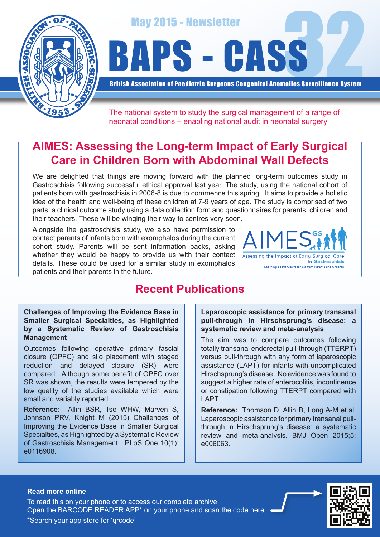

May 2015 - Newsletter<br>APS - CASS

British Association of Paediatric Surgeons Congenital Anomalies Surveillance System

The national system to study the surgical management of a range of neonatal conditions – enabling national audit in neonatal surgery

# **AIMES: Assessing the Long-term Impact of Early Surgical Care in Children Born with Abdominal Wall Defects**

We are delighted that things are moving forward with the planned long-term outcomes study in Gastroschisis following successful ethical approval last year. The study, using the national cohort of patients born with gastroschisis in 2006-8 is due to commence this spring. It aims to provide a holistic idea of the health and well-being of these children at 7-9 years of age. The study is comprised of two parts, a clinical outcome study using a data collection form and questionnaires for parents, children and their teachers. These will be winging their way to centres very soon.

Alongside the gastroschisis study, we also have permission to contact parents of infants born with exomphalos during the current cohort study. Parents will be sent information packs, asking whether they would be happy to provide us with their contact details. These could be used for a similar study in exomphalos patients and their parents in the future.



## **Recent Publications**

#### **Challenges of Improving the Evidence Base in Smaller Surgical Specialties, as Highlighted by a Systematic Review of Gastroschisis Management**

Outcomes following operative primary fascial closure (OPFC) and silo placement with staged reduction and delayed closure (SR) were compared. Although some benefit of OPFC over SR was shown, the results were tempered by the low quality of the studies available which were small and variably reported.

**Reference:** Allin BSR, Tse WHW, Marven S, Johnson PRV, Knight M (2015) Challenges of Improving the Evidence Base in Smaller Surgical Specialties, as Highlighted by a Systematic Review of Gastroschisis Management. PLoS One 10(1): e0116908.

**Laparoscopic assistance for primary transanal pull-through in Hirschsprung's disease: a systematic review and meta-analysis**

The aim was to compare outcomes following totally transanal endorectal pull-through (TTERPT) versus pull-through with any form of laparoscopic assistance (LAPT) for infants with uncomplicated Hirschsprung's disease. No evidence was found to suggest a higher rate of enterocolitis, incontinence or constipation following TTERPT compared with LAPT.

**Reference:** Thomson D, Allin B, Long A-M et.al. Laparoscopic assistance for primary transanal pullthrough in Hirschsprung's disease: a systematic review and meta-analysis. BMJ Open 2015;5: e006063.

#### **Read more online**

Open the BARCODE READER APP\* on your phone and scan the code here To read this on your phone or to access our complete archive: \*Search your app store for 'qrcode'